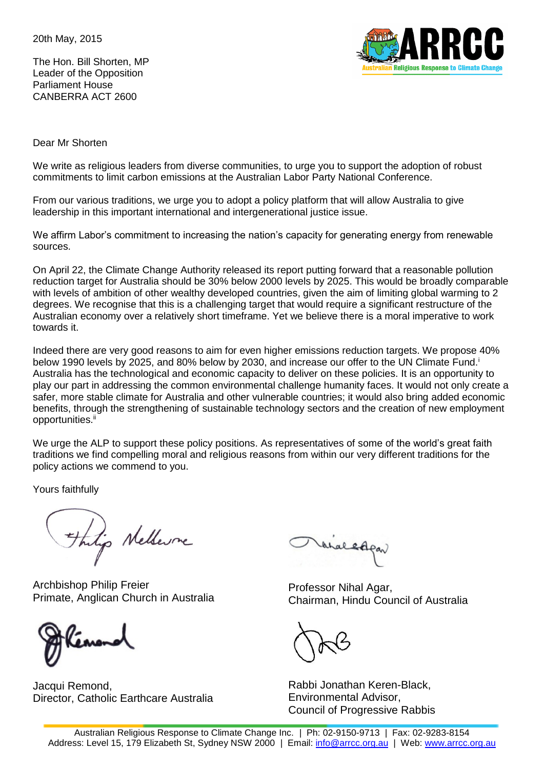20th May, 2015

The Hon. Bill Shorten, MP Leader of the Opposition Parliament House CANBERRA ACT 2600



Dear Mr Shorten

We write as religious leaders from diverse communities, to urge you to support the adoption of robust commitments to limit carbon emissions at the Australian Labor Party National Conference.

From our various traditions, we urge you to adopt a policy platform that will allow Australia to give leadership in this important international and intergenerational justice issue.

We affirm Labor's commitment to increasing the nation's capacity for generating energy from renewable sources.

On April 22, the Climate Change Authority released its report putting forward that a reasonable pollution reduction target for Australia should be 30% below 2000 levels by 2025. This would be broadly comparable with levels of ambition of other wealthy developed countries, given the aim of limiting global warming to 2 degrees. We recognise that this is a challenging target that would require a significant restructure of the Australian economy over a relatively short timeframe. Yet we believe there is a moral imperative to work towards it.

Indeed there are very good reasons to aim for even higher emissions reduction targets. We propose 40% below 1990 levels by 2025, and 80% below by 2030, and increase our offer to the UN Climate Fund.<sup>i</sup> Australia has the technological and economic capacity to deliver on these policies. It is an opportunity to play our part in addressing the common environmental challenge humanity faces. It would not only create a safer, more stable climate for Australia and other vulnerable countries; it would also bring added economic benefits, through the strengthening of sustainable technology sectors and the creation of new employment opportunities.<sup>ii</sup>

We urge the ALP to support these policy positions. As representatives of some of the world's great faith traditions we find compelling moral and religious reasons from within our very different traditions for the policy actions we commend to you.

Yours faithfully

Things Nelleure

Archbishop Philip Freier Primate, Anglican Church in Australia



Jacqui Remond, Director, Catholic Earthcare Australia

analedpan

Professor Nihal Agar, Chairman, Hindu Council of Australia

Rabbi Jonathan Keren-Black, Environmental Advisor, Council of Progressive Rabbis